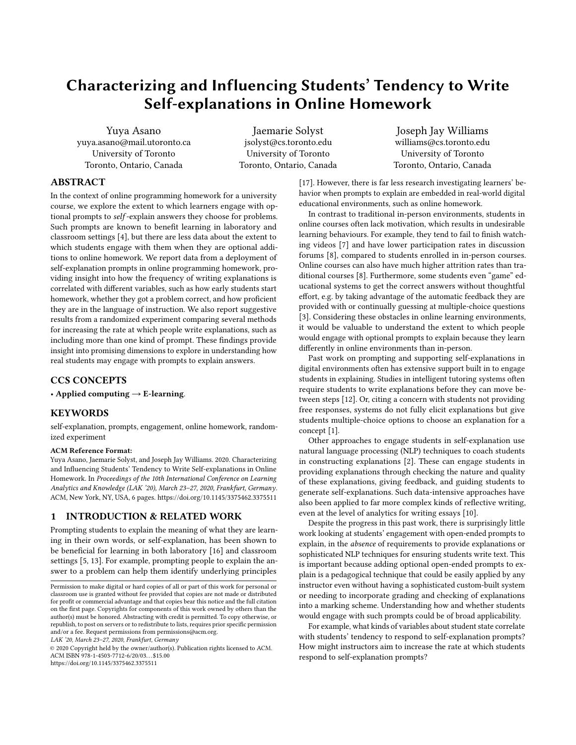# Characterizing and Influencing Students' Tendency to Write Self-explanations in Online Homework

Yuya Asano yuya.asano@mail.utoronto.ca University of Toronto Toronto, Ontario, Canada

Jaemarie Solyst jsolyst@cs.toronto.edu University of Toronto Toronto, Ontario, Canada

Joseph Jay Williams williams@cs.toronto.edu University of Toronto Toronto, Ontario, Canada

# ABSTRACT

In the context of online programming homework for a university course, we explore the extent to which learners engage with optional prompts to self -explain answers they choose for problems. Such prompts are known to benefit learning in laboratory and classroom settings [\[4\]](#page-5-0), but there are less data about the extent to which students engage with them when they are optional additions to online homework. We report data from a deployment of self-explanation prompts in online programming homework, providing insight into how the frequency of writing explanations is correlated with different variables, such as how early students start homework, whether they got a problem correct, and how proficient they are in the language of instruction. We also report suggestive results from a randomized experiment comparing several methods for increasing the rate at which people write explanations, such as including more than one kind of prompt. These findings provide insight into promising dimensions to explore in understanding how real students may engage with prompts to explain answers.

#### CCS CONCEPTS

• Applied computing  $\rightarrow$  E-learning.

# **KEYWORDS**

self-explanation, prompts, engagement, online homework, randomized experiment

#### ACM Reference Format:

Yuya Asano, Jaemarie Solyst, and Joseph Jay Williams. 2020. Characterizing and Influencing Students' Tendency to Write Self-explanations in Online Homework. In Proceedings of the 10th International Conference on Learning Analytics and Knowledge (LAK '20), March 23–27, 2020, Frankfurt, Germany. ACM, New York, NY, USA, [6](#page-5-1) pages.<https://doi.org/10.1145/3375462.3375511>

#### 1 INTRODUCTION & RELATED WORK

Prompting students to explain the meaning of what they are learning in their own words, or self-explanation, has been shown to be beneficial for learning in both laboratory [\[16\]](#page-5-2) and classroom settings [\[5,](#page-5-3) [13\]](#page-5-4). For example, prompting people to explain the answer to a problem can help them identify underlying principles

LAK '20, March 23–27, 2020, Frankfurt, Germany

© 2020 Copyright held by the owner/author(s). Publication rights licensed to ACM. ACM ISBN 978-1-4503-7712-6/20/03. . . \$15.00 <https://doi.org/10.1145/3375462.3375511>

[\[17\]](#page-5-5). However, there is far less research investigating learners' behavior when prompts to explain are embedded in real-world digital educational environments, such as online homework.

In contrast to traditional in-person environments, students in online courses often lack motivation, which results in undesirable learning behaviours. For example, they tend to fail to finish watching videos [\[7\]](#page-5-6) and have lower participation rates in discussion forums [\[8\]](#page-5-7), compared to students enrolled in in-person courses. Online courses can also have much higher attrition rates than traditional courses [\[8\]](#page-5-7). Furthermore, some students even "game" educational systems to get the correct answers without thoughtful effort, e.g. by taking advantage of the automatic feedback they are provided with or continually guessing at multiple-choice questions [\[3\]](#page-5-8). Considering these obstacles in online learning environments, it would be valuable to understand the extent to which people would engage with optional prompts to explain because they learn differently in online environments than in-person.

Past work on prompting and supporting self-explanations in digital environments often has extensive support built in to engage students in explaining. Studies in intelligent tutoring systems often require students to write explanations before they can move between steps [\[12\]](#page-5-9). Or, citing a concern with students not providing free responses, systems do not fully elicit explanations but give students multiple-choice options to choose an explanation for a concept [\[1\]](#page-5-10).

Other approaches to engage students in self-explanation use natural language processing (NLP) techniques to coach students in constructing explanations [\[2\]](#page-5-11). These can engage students in providing explanations through checking the nature and quality of these explanations, giving feedback, and guiding students to generate self-explanations. Such data-intensive approaches have also been applied to far more complex kinds of reflective writing, even at the level of analytics for writing essays [\[10\]](#page-5-12).

Despite the progress in this past work, there is surprisingly little work looking at students' engagement with open-ended prompts to explain, in the absence of requirements to provide explanations or sophisticated NLP techniques for ensuring students write text. This is important because adding optional open-ended prompts to explain is a pedagogical technique that could be easily applied by any instructor even without having a sophisticated custom-built system or needing to incorporate grading and checking of explanations into a marking scheme. Understanding how and whether students would engage with such prompts could be of broad applicability.

For example, what kinds of variables about student state correlate with students' tendency to respond to self-explanation prompts? How might instructors aim to increase the rate at which students respond to self-explanation prompts?

Permission to make digital or hard copies of all or part of this work for personal or classroom use is granted without fee provided that copies are not made or distributed for profit or commercial advantage and that copies bear this notice and the full citation on the first page. Copyrights for components of this work owned by others than the author(s) must be honored. Abstracting with credit is permitted. To copy otherwise, or republish, to post on servers or to redistribute to lists, requires prior specific permission and/or a fee. Request permissions from permissions@acm.org.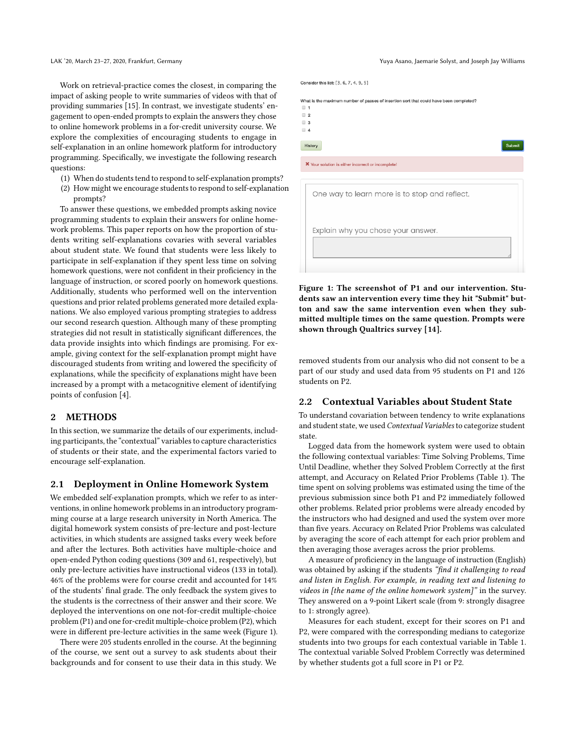Work on retrieval-practice comes the closest, in comparing the impact of asking people to write summaries of videos with that of providing summaries [\[15\]](#page-5-13). In contrast, we investigate students' engagement to open-ended prompts to explain the answers they chose to online homework problems in a for-credit university course. We explore the complexities of encouraging students to engage in self-explanation in an online homework platform for introductory programming. Specifically, we investigate the following research questions:

- (1) When do students tend to respond to self-explanation prompts?
- (2) How might we encourage students to respond to self-explanation prompts?

To answer these questions, we embedded prompts asking novice programming students to explain their answers for online homework problems. This paper reports on how the proportion of students writing self-explanations covaries with several variables about student state. We found that students were less likely to participate in self-explanation if they spent less time on solving homework questions, were not confident in their proficiency in the language of instruction, or scored poorly on homework questions. Additionally, students who performed well on the intervention questions and prior related problems generated more detailed explanations. We also employed various prompting strategies to address our second research question. Although many of these prompting strategies did not result in statistically significant differences, the data provide insights into which findings are promising. For example, giving context for the self-explanation prompt might have discouraged students from writing and lowered the specificity of explanations, while the specificity of explanations might have been increased by a prompt with a metacognitive element of identifying points of confusion [\[4\]](#page-5-0).

#### 2 METHODS

In this section, we summarize the details of our experiments, including participants, the "contextual" variables to capture characteristics of students or their state, and the experimental factors varied to encourage self-explanation.

#### <span id="page-1-1"></span>2.1 Deployment in Online Homework System

We embedded self-explanation prompts, which we refer to as interventions, in online homework problems in an introductory programming course at a large research university in North America. The digital homework system consists of pre-lecture and post-lecture activities, in which students are assigned tasks every week before and after the lectures. Both activities have multiple-choice and open-ended Python coding questions (309 and 61, respectively), but only pre-lecture activities have instructional videos (133 in total). 46% of the problems were for course credit and accounted for 14% of the students' final grade. The only feedback the system gives to the students is the correctness of their answer and their score. We deployed the interventions on one not-for-credit multiple-choice problem (P1) and one for-credit multiple-choice problem (P2), which were in different pre-lecture activities in the same week (Figure [1\)](#page-1-0).

There were 205 students enrolled in the course. At the beginning of the course, we sent out a survey to ask students about their backgrounds and for consent to use their data in this study. We <span id="page-1-0"></span>Consider this list: [3, 6, 7, 4, 9, 5] What is the maximum number of passes of insertion sort that could have been completed?  $\Box$  1  $\Box$  2  $\Box$  3  $\Box$  4 History Submit X Your solution is either incorrect or incomplete One way to learn more is to stop and reflect. Explain why you chose your answer.

Figure 1: The screenshot of P1 and our intervention. Students saw an intervention every time they hit "Submit" button and saw the same intervention even when they submitted multiple times on the same question. Prompts were shown through Qualtrics survey [\[14\]](#page-5-14).

removed students from our analysis who did not consent to be a part of our study and used data from 95 students on P1 and 126 students on P2.

#### 2.2 Contextual Variables about Student State

To understand covariation between tendency to write explanations and student state, we used Contextual Variables to categorize student state.

Logged data from the homework system were used to obtain the following contextual variables: Time Solving Problems, Time Until Deadline, whether they Solved Problem Correctly at the first attempt, and Accuracy on Related Prior Problems (Table [1\)](#page-3-0). The time spent on solving problems was estimated using the time of the previous submission since both P1 and P2 immediately followed other problems. Related prior problems were already encoded by the instructors who had designed and used the system over more than five years. Accuracy on Related Prior Problems was calculated by averaging the score of each attempt for each prior problem and then averaging those averages across the prior problems.

A measure of proficiency in the language of instruction (English) was obtained by asking if the students "find it challenging to read and listen in English. For example, in reading text and listening to videos in [the name of the online homework system]" in the survey. They answered on a 9-point Likert scale (from 9: strongly disagree to 1: strongly agree).

Measures for each student, except for their scores on P1 and P2, were compared with the corresponding medians to categorize students into two groups for each contextual variable in Table [1.](#page-3-0) The contextual variable Solved Problem Correctly was determined by whether students got a full score in P1 or P2.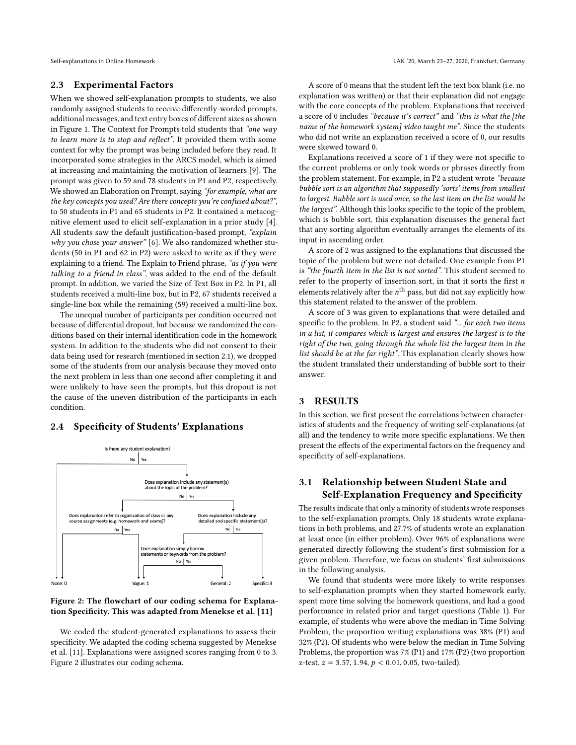#### 2.3 Experimental Factors

When we showed self-explanation prompts to students, we also randomly assigned students to receive differently-worded prompts, additional messages, and text entry boxes of different sizes as shown in Figure [1.](#page-1-0) The Context for Prompts told students that "one way to learn more is to stop and reflect". It provided them with some context for why the prompt was being included before they read. It incorporated some strategies in the ARCS model, which is aimed at increasing and maintaining the motivation of learners [\[9\]](#page-5-15). The prompt was given to 59 and 78 students in P1 and P2, respectively. We showed an Elaboration on Prompt, saying "for example, what are the key concepts you used? Are there concepts you're confused about?", to 50 students in P1 and 65 students in P2. It contained a metacognitive element used to elicit self-explanation in a prior study [\[4\]](#page-5-0). All students saw the default justification-based prompt, "explain why you chose your answer" [\[6\]](#page-5-16). We also randomized whether students (50 in P1 and 62 in P2) were asked to write as if they were explaining to a friend. The Explain to Friend phrase, "as if you were talking to a friend in class", was added to the end of the default prompt. In addition, we varied the Size of Text Box in P2. In P1, all students received a multi-line box, but in P2, 67 students received a single-line box while the remaining (59) received a multi-line box.

The unequal number of participants per condition occurred not because of differential dropout, but because we randomized the conditions based on their internal identification code in the homework system. In addition to the students who did not consent to their data being used for research (mentioned in section [2.1\)](#page-1-1), we dropped some of the students from our analysis because they moved onto the next problem in less than one second after completing it and were unlikely to have seen the prompts, but this dropout is not the cause of the uneven distribution of the participants in each condition.

## 2.4 Specificity of Students' Explanations

<span id="page-2-0"></span>

Figure 2: The flowchart of our coding schema for Explanation Specificity. This was adapted from Menekse et al. [\[11\]](#page-5-17)

We coded the student-generated explanations to assess their specificity. We adapted the coding schema suggested by Menekse et al. [\[11\]](#page-5-17). Explanations were assigned scores ranging from 0 to 3. Figure [2](#page-2-0) illustrates our coding schema.

A score of 0 means that the student left the text box blank (i.e. no explanation was written) or that their explanation did not engage with the core concepts of the problem. Explanations that received a score of 0 includes "because it's correct" and "this is what the [the name of the homework system] video taught me". Since the students who did not write an explanation received a score of 0, our results were skewed toward 0.

Explanations received a score of 1 if they were not specific to the current problems or only took words or phrases directly from the problem statement. For example, in P2 a student wrote "because bubble sort is an algorithm that supposedly 'sorts' items from smallest to largest. Bubble sort is used once, so the last item on the list would be the largest". Although this looks specific to the topic of the problem, which is bubble sort, this explanation discusses the general fact that any sorting algorithm eventually arranges the elements of its input in ascending order.

A score of 2 was assigned to the explanations that discussed the topic of the problem but were not detailed. One example from P1 is "the fourth item in the list is not sorted". This student seemed to refer to the property of insertion sort, in that it sorts the first  $n$ elements relatively after the  $n^{\text{th}}$  pass, but did not say explicitly how this statement related to the answer of the problem.

A score of 3 was given to explanations that were detailed and specific to the problem. In P2, a student said "... for each two items in a list, it compares which is largest and ensures the largest is to the right of the two, going through the whole list the largest item in the list should be at the far right". This explanation clearly shows how the student translated their understanding of bubble sort to their answer.

#### 3 RESULTS

In this section, we first present the correlations between characteristics of students and the frequency of writing self-explanations (at all) and the tendency to write more specific explanations. We then present the effects of the experimental factors on the frequency and specificity of self-explanations.

# 3.1 Relationship between Student State and Self-Explanation Frequency and Specificity

The results indicate that only a minority of students wrote responses to the self-explanation prompts. Only 18 students wrote explanations in both problems, and 27.7% of students wrote an explanation at least once (in either problem). Over 96% of explanations were generated directly following the student's first submission for a given problem. Therefore, we focus on students' first submissions in the following analysis.

We found that students were more likely to write responses to self-explanation prompts when they started homework early, spent more time solving the homework questions, and had a good performance in related prior and target questions (Table [1\)](#page-3-0). For example, of students who were above the median in Time Solving Problem, the proportion writing explanations was 38% (P1) and 32% (P2). Of students who were below the median in Time Solving Problems, the proportion was 7% (P1) and 17% (P2) (two proportion z-test,  $z = 3.57, 1.94, p < 0.01, 0.05$ , two-tailed).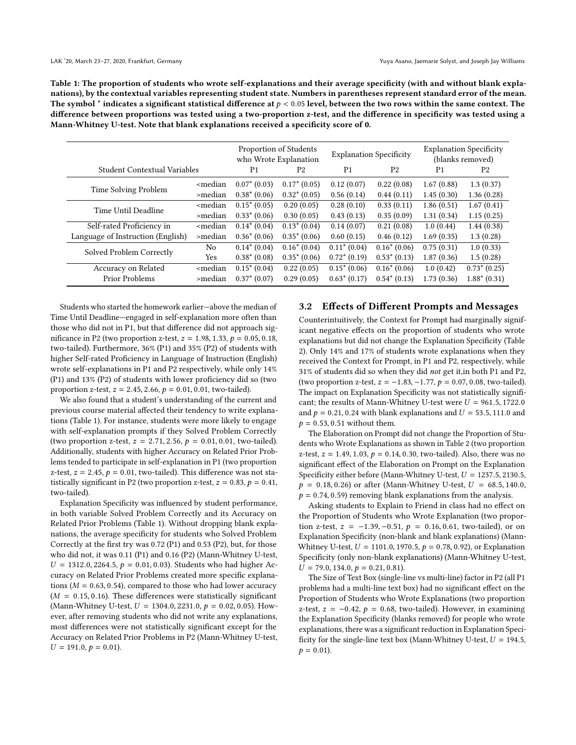<span id="page-3-0"></span>Table 1: The proportion of students who wrote self-explanations and their average specificity (with and without blank explanations), by the contextual variables representing student state. Numbers in parentheses represent standard error of the mean. The symbol  $*$  indicates a significant statistical difference at  $p < 0.05$  level, between the two rows within the same context. The difference between proportions was tested using a two-proportion z-test, and the difference in specificity was tested using a Mann-Whitney U-test. Note that blank explanations received a specificity score of 0.

|                                     |                                                                                                                                                                                                      | Proportion of Students<br>who Wrote Explanation |                 | <b>Explanation Specificity</b> |                 | <b>Explanation Specificity</b><br>(blanks removed) |                 |
|-------------------------------------|------------------------------------------------------------------------------------------------------------------------------------------------------------------------------------------------------|-------------------------------------------------|-----------------|--------------------------------|-----------------|----------------------------------------------------|-----------------|
| <b>Student Contextual Variables</b> |                                                                                                                                                                                                      | P <sub>1</sub>                                  | P <sub>2</sub>  | P <sub>1</sub>                 | P <sub>2</sub>  | P <sub>1</sub>                                     | P <sub>2</sub>  |
| Time Solving Problem                | <median< td=""><td><math>0.07^* (0.03)</math></td><td><math>0.17^* (0.05)</math></td><td>0.12(0.07)</td><td>0.22(0.08)</td><td>1.67(0.88)</td><td>1.3(0.37)</td></median<>                           | $0.07^* (0.03)$                                 | $0.17^* (0.05)$ | 0.12(0.07)                     | 0.22(0.08)      | 1.67(0.88)                                         | 1.3(0.37)       |
|                                     | >median                                                                                                                                                                                              | $0.38*(0.06)$                                   | $0.32^* (0.05)$ | 0.56(0.14)                     | 0.44(0.11)      | 1.45(0.30)                                         | 1.36(0.28)      |
| Time Until Deadline                 | <median< td=""><td><math>0.15*(0.05)</math></td><td>0.20(0.05)</td><td>0.28(0.10)</td><td>0.33(0.11)</td><td>1.86(0.51)</td><td>1.67(0.41)</td></median<>                                            | $0.15*(0.05)$                                   | 0.20(0.05)      | 0.28(0.10)                     | 0.33(0.11)      | 1.86(0.51)                                         | 1.67(0.41)      |
|                                     | >median                                                                                                                                                                                              | $0.33^* (0.06)$                                 | 0.30(0.05)      | 0.43(0.13)                     | 0.35(0.09)      | 1.31(0.34)                                         | 1.15(0.25)      |
| Self-rated Proficiency in           | <median< td=""><td><math>0.14*(0.04)</math></td><td><math>0.13^* (0.04)</math></td><td>0.14(0.07)</td><td>0.21(0.08)</td><td>1.0(0.44)</td><td>1.44(0.38)</td></median<>                             | $0.14*(0.04)$                                   | $0.13^* (0.04)$ | 0.14(0.07)                     | 0.21(0.08)      | 1.0(0.44)                                          | 1.44(0.38)      |
| Language of Instruction (English)   | >median                                                                                                                                                                                              | $0.36*(0.06)$                                   | $0.35^* (0.06)$ | 0.60(0.15)                     | 0.46(0.12)      | 1.69(0.35)                                         | 1.3(0.28)       |
| Solved Problem Correctly            | N <sub>0</sub>                                                                                                                                                                                       | $0.14*(0.04)$                                   | $0.16*(0.04)$   | $0.11^* (0.04)$                | $0.16*(0.06)$   | 0.75(0.31)                                         | 1.0(0.33)       |
|                                     | Yes                                                                                                                                                                                                  | $0.38*(0.08)$                                   | $0.35*(0.06)$   | $0.72*(0.19)$                  | $0.53^* (0.13)$ | 1.87(0.36)                                         | 1.5(0.28)       |
| Accuracy on Related                 | <median< td=""><td><math>0.15*(0.04)</math></td><td>0.22(0.05)</td><td><math>0.15*(0.06)</math></td><td><math>0.16*(0.06)</math></td><td>1.0(0.42)</td><td><math>0.73^* (0.25)</math></td></median<> | $0.15*(0.04)$                                   | 0.22(0.05)      | $0.15*(0.06)$                  | $0.16*(0.06)$   | 1.0(0.42)                                          | $0.73^* (0.25)$ |
| Prior Problems                      | >median                                                                                                                                                                                              | $0.37^* (0.07)$                                 | 0.29(0.05)      | $0.63^* (0.17)$                | $0.54*(0.13)$   | 1.73(0.36)                                         | $1.88*(0.31)$   |

Students who started the homework earlier—above the median of Time Until Deadline—engaged in self-explanation more often than those who did not in P1, but that difference did not approach significance in P2 (two proportion z-test,  $z = 1.98, 1.33, p = 0.05, 0.18$ , two-tailed). Furthermore, 36% (P1) and 35% (P2) of students with higher Self-rated Proficiency in Language of Instruction (English) wrote self-explanations in P1 and P2 respectively, while only 14% (P1) and 13% (P2) of students with lower proficiency did so (two proportion z-test,  $z = 2.45, 2.66, p = 0.01, 0.01$ , two-tailed).

We also found that a student's understanding of the current and previous course material affected their tendency to write explanations (Table [1\)](#page-3-0). For instance, students were more likely to engage with self-explanation prompts if they Solved Problem Correctly (two proportion z-test,  $z = 2.71, 2.56, p = 0.01, 0.01$ , two-tailed). Additionally, students with higher Accuracy on Related Prior Problems tended to participate in self-explanation in P1 (two proportion z-test,  $z = 2.45$ ,  $p = 0.01$ , two-tailed). This difference was not statistically significant in P2 (two proportion z-test,  $z = 0.83$ ,  $p = 0.41$ , two-tailed).

Explanation Specificity was influenced by student performance, in both variable Solved Problem Correctly and its Accuracy on Related Prior Problems (Table [1\)](#page-3-0). Without dropping blank explanations, the average specificity for students who Solved Problem Correctly at the first try was 0.72 (P1) and 0.53 (P2), but, for those who did not, it was 0.11 (P1) and 0.16 (P2) (Mann-Whitney U-test,  $U = 1312.0, 2264.5, p = 0.01, 0.03$ . Students who had higher Accuracy on Related Prior Problems created more specific explanations ( $M = 0.63, 0.54$ ), compared to those who had lower accuracy  $(M = 0.15, 0.16)$ . These differences were statistically significant (Mann-Whitney U-test,  $U = 1304.0, 2231.0, p = 0.02, 0.05$ ). However, after removing students who did not write any explanations, most differences were not statistically significant except for the Accuracy on Related Prior Problems in P2 (Mann-Whitney U-test,  $U = 191.0, p = 0.01$ .

### 3.2 Effects of Different Prompts and Messages

Counterintuitively, the Context for Prompt had marginally significant negative effects on the proportion of students who wrote explanations but did not change the Explanation Specificity (Table [2\)](#page-4-0). Only 14% and 17% of students wrote explanations when they received the Context for Prompt, in P1 and P2, respectively, while 31% of students did so when they did not get it,in both P1 and P2, (two proportion z-test,  $z = -1.83, -1.77, p = 0.07, 0.08$ , two-tailed). The impact on Explanation Specificity was not statistically significant; the results of Mann-Whitney U-test were  $U = 961.5, 1722.0$ and  $p = 0.21, 0.24$  with blank explanations and  $U = 53.5, 111.0$  and  $p = 0.53, 0.51$  without them.

The Elaboration on Prompt did not change the Proportion of Students who Wrote Explanations as shown in Table [2](#page-4-0) (two proportion z-test,  $z = 1.49, 1.03, p = 0.14, 0.30,$  two-tailed). Also, there was no significant effect of the Elaboration on Prompt on the Explanation Specificity either before (Mann-Whitney U-test,  $U = 1237.5, 2130.5,$  $p = 0.18, 0.26$  or after (Mann-Whitney U-test,  $U = 68.5, 140.0$ ,  $p = 0.74, 0.59$ ) removing blank explanations from the analysis.

Asking students to Explain to Friend in class had no effect on the Proportion of Students who Wrote Explanation (two proportion z-test,  $z = -1.39, -0.51, p = 0.16, 0.61,$  two-tailed), or on Explanation Specificity (non-blank and blank explanations) (Mann-Whitney U-test,  $U = 1101.0$ , 1970.5,  $p = 0.78, 0.92$ ), or Explanation Specificity (only non-blank explanations) (Mann-Whitney U-test,  $U = 79.0, 134.0, p = 0.21, 0.81$ .

The Size of Text Box (single-line vs multi-line) factor in P2 (all P1 problems had a multi-line text box) had no significant effect on the Proportion of Students who Wrote Explanations (two proportion z-test,  $z = -0.42$ ,  $p = 0.68$ , two-tailed). However, in examining the Explanation Specificity (blanks removed) for people who wrote explanations, there was a significant reduction in Explanation Specificity for the single-line text box (Mann-Whitney U-test,  $U = 194.5$ ,  $p = 0.01$ ).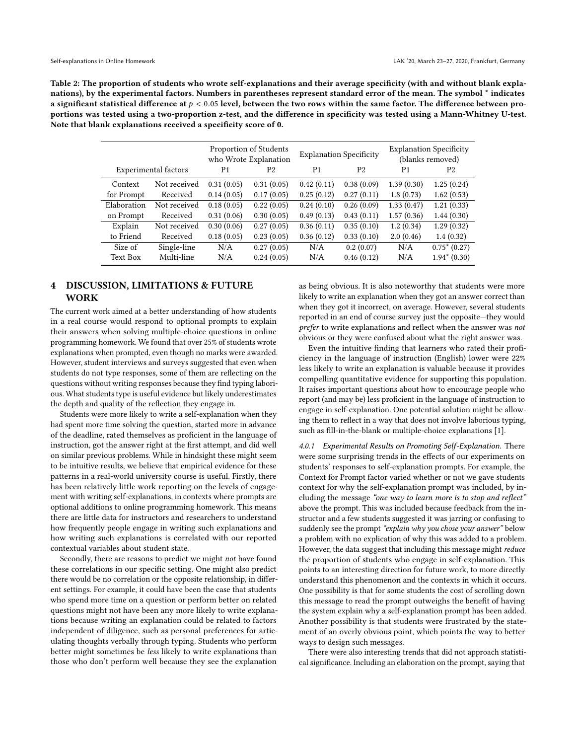<span id="page-4-0"></span>Table 2: The proportion of students who wrote self-explanations and their average specificity (with and without blank explanations), by the experimental factors. Numbers in parentheses represent standard error of the mean. The symbol \* indicates a significant statistical difference at  $p < 0.05$  level, between the two rows within the same factor. The difference between proportions was tested using a two-proportion z-test, and the difference in specificity was tested using a Mann-Whitney U-test. Note that blank explanations received a specificity score of 0.

|                             |              | Proportion of Students<br>who Wrote Explanation |            | <b>Explanation Specificity</b> |                | <b>Explanation Specificity</b><br>(blanks removed) |                |
|-----------------------------|--------------|-------------------------------------------------|------------|--------------------------------|----------------|----------------------------------------------------|----------------|
| <b>Experimental factors</b> |              | P <sub>1</sub>                                  | P2         | P <sub>1</sub>                 | P <sub>2</sub> | P <sub>1</sub>                                     | P <sub>2</sub> |
| Context                     | Not received | 0.31(0.05)                                      | 0.31(0.05) | 0.42(0.11)                     | 0.38(0.09)     | 1.39(0.30)                                         | 1.25(0.24)     |
| for Prompt                  | Received     | 0.14(0.05)                                      | 0.17(0.05) | 0.25(0.12)                     | 0.27(0.11)     | 1.8(0.73)                                          | 1.62(0.53)     |
| Elaboration                 | Not received | 0.18(0.05)                                      | 0.22(0.05) | 0.24(0.10)                     | 0.26(0.09)     | 1.33(0.47)                                         | 1.21(0.33)     |
| on Prompt                   | Received     | 0.31(0.06)                                      | 0.30(0.05) | 0.49(0.13)                     | 0.43(0.11)     | 1.57(0.36)                                         | 1.44(0.30)     |
| Explain                     | Not received | 0.30(0.06)                                      | 0.27(0.05) | 0.36(0.11)                     | 0.35(0.10)     | 1.2(0.34)                                          | 1.29(0.32)     |
| to Friend                   | Received     | 0.18(0.05)                                      | 0.23(0.05) | 0.36(0.12)                     | 0.33(0.10)     | 2.0(0.46)                                          | 1.4(0.32)      |
| Size of                     | Single-line  | N/A                                             | 0.27(0.05) | N/A                            | 0.2(0.07)      | N/A                                                | $0.75*(0.27)$  |
| Text Box                    | Multi-line   | N/A                                             | 0.24(0.05) | N/A                            | 0.46(0.12)     | N/A                                                | $1.94*(0.30)$  |

# 4 DISCUSSION, LIMITATIONS & FUTURE WORK

The current work aimed at a better understanding of how students in a real course would respond to optional prompts to explain their answers when solving multiple-choice questions in online programming homework. We found that over 25% of students wrote explanations when prompted, even though no marks were awarded. However, student interviews and surveys suggested that even when students do not type responses, some of them are reflecting on the questions without writing responses because they find typing laborious. What students type is useful evidence but likely underestimates the depth and quality of the reflection they engage in.

Students were more likely to write a self-explanation when they had spent more time solving the question, started more in advance of the deadline, rated themselves as proficient in the language of instruction, got the answer right at the first attempt, and did well on similar previous problems. While in hindsight these might seem to be intuitive results, we believe that empirical evidence for these patterns in a real-world university course is useful. Firstly, there has been relatively little work reporting on the levels of engagement with writing self-explanations, in contexts where prompts are optional additions to online programming homework. This means there are little data for instructors and researchers to understand how frequently people engage in writing such explanations and how writing such explanations is correlated with our reported contextual variables about student state.

Secondly, there are reasons to predict we might not have found these correlations in our specific setting. One might also predict there would be no correlation or the opposite relationship, in different settings. For example, it could have been the case that students who spend more time on a question or perform better on related questions might not have been any more likely to write explanations because writing an explanation could be related to factors independent of diligence, such as personal preferences for articulating thoughts verbally through typing. Students who perform better might sometimes be less likely to write explanations than those who don't perform well because they see the explanation

as being obvious. It is also noteworthy that students were more likely to write an explanation when they got an answer correct than when they got it incorrect, on average. However, several students reported in an end of course survey just the opposite—they would prefer to write explanations and reflect when the answer was not obvious or they were confused about what the right answer was.

Even the intuitive finding that learners who rated their proficiency in the language of instruction (English) lower were 22% less likely to write an explanation is valuable because it provides compelling quantitative evidence for supporting this population. It raises important questions about how to encourage people who report (and may be) less proficient in the language of instruction to engage in self-explanation. One potential solution might be allowing them to reflect in a way that does not involve laborious typing, such as fill-in-the-blank or multiple-choice explanations [\[1\]](#page-5-10).

4.0.1 Experimental Results on Promoting Self-Explanation. There were some surprising trends in the effects of our experiments on students' responses to self-explanation prompts. For example, the Context for Prompt factor varied whether or not we gave students context for why the self-explanation prompt was included, by including the message "one way to learn more is to stop and reflect" above the prompt. This was included because feedback from the instructor and a few students suggested it was jarring or confusing to suddenly see the prompt "explain why you chose your answer" below a problem with no explication of why this was added to a problem. However, the data suggest that including this message might reduce the proportion of students who engage in self-explanation. This points to an interesting direction for future work, to more directly understand this phenomenon and the contexts in which it occurs. One possibility is that for some students the cost of scrolling down this message to read the prompt outweighs the benefit of having the system explain why a self-explanation prompt has been added. Another possibility is that students were frustrated by the statement of an overly obvious point, which points the way to better ways to design such messages.

There were also interesting trends that did not approach statistical significance. Including an elaboration on the prompt, saying that